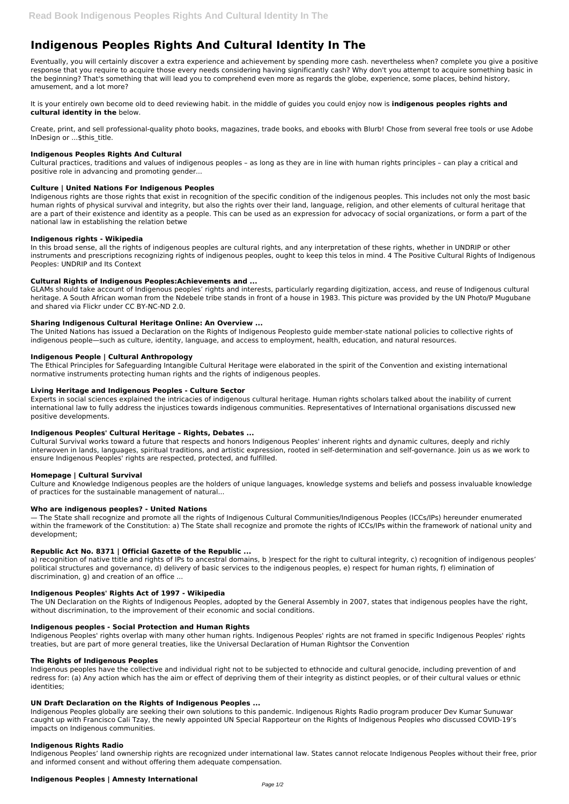# **Indigenous Peoples Rights And Cultural Identity In The**

Eventually, you will certainly discover a extra experience and achievement by spending more cash. nevertheless when? complete you give a positive response that you require to acquire those every needs considering having significantly cash? Why don't you attempt to acquire something basic in the beginning? That's something that will lead you to comprehend even more as regards the globe, experience, some places, behind history, amusement, and a lot more?

It is your entirely own become old to deed reviewing habit. in the middle of guides you could enjoy now is **indigenous peoples rights and cultural identity in the** below.

Create, print, and sell professional-quality photo books, magazines, trade books, and ebooks with Blurb! Chose from several free tools or use Adobe InDesign or ...\$this\_title.

## **Indigenous Peoples Rights And Cultural**

Cultural practices, traditions and values of indigenous peoples – as long as they are in line with human rights principles – can play a critical and positive role in advancing and promoting gender...

## **Culture | United Nations For Indigenous Peoples**

Indigenous rights are those rights that exist in recognition of the specific condition of the indigenous peoples. This includes not only the most basic human rights of physical survival and integrity, but also the rights over their land, language, religion, and other elements of cultural heritage that are a part of their existence and identity as a people. This can be used as an expression for advocacy of social organizations, or form a part of the national law in establishing the relation betwe

## **Indigenous rights - Wikipedia**

In this broad sense, all the rights of indigenous peoples are cultural rights, and any interpretation of these rights, whether in UNDRIP or other instruments and prescriptions recognizing rights of indigenous peoples, ought to keep this telos in mind. 4 The Positive Cultural Rights of Indigenous Peoples: UNDRIP and Its Context

## **Cultural Rights of Indigenous Peoples:Achievements and ...**

GLAMs should take account of Indigenous peoples' rights and interests, particularly regarding digitization, access, and reuse of Indigenous cultural heritage. A South African woman from the Ndebele tribe stands in front of a house in 1983. This picture was provided by the UN Photo/P Mugubane and shared via Flickr under CC BY-NC-ND 2.0.

#### **Sharing Indigenous Cultural Heritage Online: An Overview ...**

The United Nations has issued a Declaration on the Rights of Indigenous Peoplesto guide member-state national policies to collective rights of indigenous people—such as culture, identity, language, and access to employment, health, education, and natural resources.

#### **Indigenous People | Cultural Anthropology**

The Ethical Principles for Safeguarding Intangible Cultural Heritage were elaborated in the spirit of the Convention and existing international normative instruments protecting human rights and the rights of indigenous peoples.

# **Living Heritage and Indigenous Peoples - Culture Sector**

Experts in social sciences explained the intricacies of indigenous cultural heritage. Human rights scholars talked about the inability of current international law to fully address the injustices towards indigenous communities. Representatives of International organisations discussed new positive developments.

# **Indigenous Peoples' Cultural Heritage – Rights, Debates ...**

Cultural Survival works toward a future that respects and honors Indigenous Peoples' inherent rights and dynamic cultures, deeply and richly interwoven in lands, languages, spiritual traditions, and artistic expression, rooted in self-determination and self-governance. Join us as we work to ensure Indigenous Peoples' rights are respected, protected, and fulfilled.

#### **Homepage | Cultural Survival**

Culture and Knowledge Indigenous peoples are the holders of unique languages, knowledge systems and beliefs and possess invaluable knowledge of practices for the sustainable management of natural...

#### **Who are indigenous peoples? - United Nations**

— The State shall recognize and promote all the rights of Indigenous Cultural Communities/Indigenous Peoples (ICCs/IPs) hereunder enumerated within the framework of the Constitution: a) The State shall recognize and promote the rights of ICCs/IPs within the framework of national unity and development;

# **Republic Act No. 8371 | Official Gazette of the Republic ...**

a) recognition of native ttitle and rights of IPs to ancestral domains, b )respect for the right to cultural integrity, c) recognition of indigenous peoples' political structures and governance, d) delivery of basic services to the indigenous peoples, e) respect for human rights, f) elimination of discrimination, g) and creation of an office ...

#### **Indigenous Peoples' Rights Act of 1997 - Wikipedia**

The UN Declaration on the Rights of Indigenous Peoples, adopted by the General Assembly in 2007, states that indigenous peoples have the right,

#### **Indigenous peoples - Social Protection and Human Rights**

Indigenous Peoples' rights overlap with many other human rights. Indigenous Peoples' rights are not framed in specific Indigenous Peoples' rights treaties, but are part of more general treaties, like the Universal Declaration of Human Rightsor the Convention

#### **The Rights of Indigenous Peoples**

Indigenous peoples have the collective and individual right not to be subjected to ethnocide and cultural genocide, including prevention of and redress for: (a) Any action which has the aim or effect of depriving them of their integrity as distinct peoples, or of their cultural values or ethnic identities;

#### **UN Draft Declaration on the Rights of Indigenous Peoples ...**

Indigenous Peoples globally are seeking their own solutions to this pandemic. Indigenous Rights Radio program producer Dev Kumar Sunuwar caught up with Francisco Cali Tzay, the newly appointed UN Special Rapporteur on the Rights of Indigenous Peoples who discussed COVID-19's impacts on Indigenous communities.

#### **Indigenous Rights Radio**

Indigenous Peoples' land ownership rights are recognized under international law. States cannot relocate Indigenous Peoples without their free, prior and informed consent and without offering them adequate compensation.

#### **Indigenous Peoples | Amnesty International**